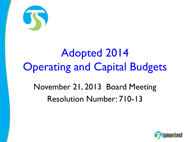

# Adopted 2014 **Operating and Capital Budgets** November 21, 2013 Board Meeting Resolution Number: 710-13

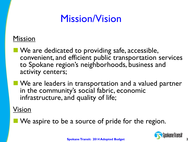### Mission/Vision

#### Mission

- **Ne are dedicated to providing safe, accessible,** convenient, and efficient public transportation services to Spokane region's neighborhoods, business and activity centers;
- **Notable 20 IV and Senary Exercise 1 Senarch 20 IV and Senarch 20 IV and Senarch 20 IV and Senarch 20 IV and Senarch 20 IV and Senarch 20 IV and Senarch 20 IV and Senarch 20 IV and Senarch 20 IV and Senarch 20 IV and Senar** in the community's social fabric, economic infrastructure, and quality of life;

#### Vision

We aspire to be a source of pride for the region.

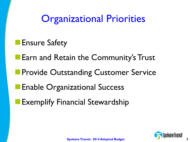**Organizational Priorities** 

**Ensure Safety** 

**Earn and Retain the Community's Trust** 

**Provide Outstanding Customer Service** 

**Enable Organizational Success** 

Exemplify Financial Stewardship

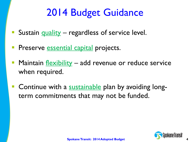## 2014 Budget Guidance

- Sustain quality regardless of service level.
- **Preserve essential capital projects.**
- Maintain **flexibility** add revenue or reduce service when required.
- Continue with a sustainable plan by avoiding longterm commitments that may not be funded.

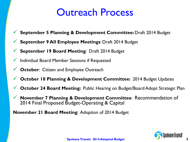### Outreach Process

- **September 5 Planning & Development Committee:** Draft 2014 Budget
- **September 9 All Employee Meetings**: Draft 2014 Budget
- **September 19 Board Meeting**: Draft 2014 Budget
- $\checkmark$  Individual Board Member Sessions if Requested
- **October: Citizen and Employee Outreach**
- **October 10 Planning & Development Committee:** 2014 Budget Updates
- **October 24 Board Meeting:** Public Hearing on Budget/Board Adopt Strategic Plan
- **November 7 Planning & Development Committee**: Recommendation of 2014 Final Proposed Budget-Operating & Capital

**November 21 Board Meeting**: Adoption of 2014 Budget

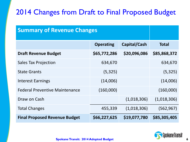#### 2014 Changes from Draft to Final Proposed Budget

| <b>Summary of Revenue Changes</b>     |                  |              |              |
|---------------------------------------|------------------|--------------|--------------|
|                                       | <b>Operating</b> | Capital/Cash | <b>Total</b> |
| <b>Draft Revenue Budget</b>           | \$65,772,286     | \$20,096,086 | \$85,868,372 |
| <b>Sales Tax Projection</b>           | 634,670          |              | 634,670      |
| <b>State Grants</b>                   | (5, 325)         |              | (5, 325)     |
| <b>Interest Earnings</b>              | (14,006)         |              | (14,006)     |
| <b>Federal Preventive Maintenance</b> | (160,000)        |              | (160,000)    |
| Draw on Cash                          |                  | (1,018,306)  | (1,018,306)  |
| <b>Total Changes</b>                  | 455,339          | (1,018,306)  | (562, 967)   |
| <b>Final Proposed Revenue Budget</b>  | \$66,227,625     | \$19,077,780 | \$85,305,405 |

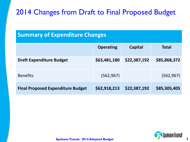#### 2014 Changes from Draft to Final Proposed Budget

#### **Summary of Expenditure Changes**

|                                          | <b>Operating</b> | <b>Capital</b> | Total        |
|------------------------------------------|------------------|----------------|--------------|
| <b>Draft Expenditure Budget</b>          | \$63,481,180     | \$22,387,192   | \$85,868,372 |
| <b>Benefits</b>                          | (562, 967)       |                | (562, 967)   |
| <b>Final Proposed Expenditure Budget</b> | \$62,918,213     | \$22,387,192   | \$85,305,405 |

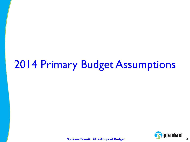# 2014 Primary Budget Assumptions

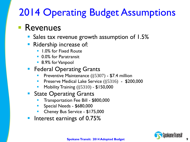# 2014 Operating Budget Assumptions

### **Revenues**

- **Sales tax revenue growth assumption of 1.5%**
- **Ridership increase of:** 
	- 1.0% for Fixed Route
	- **0.0% for Paratransit**
	- 8.9% for Vanpool
- **Federal Operating Grants** 
	- Preventive Maintenance (§5307) \$7.4 million
	- Preserve Medical Lake Service (§5316) \$200,000
	- Mobility Training (§5310) \$150,000
- **State Operating Grants** 
	- Transportation Fee Bill \$800,000
	- Special Needs \$680,000
	- Cheney Bus Service \$175,000
- Interest earnings of 0.75%

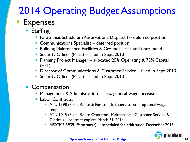## **Expenses** 2014 Operating Budget Assumptions

- **Staffing** 
	- **Paratransit Scheduler (Reservations/Dispatch)** deferred position
	- **Communications Specialist deferred position**
	- **Building Maintenance Facilities & Grounds fills additional need**
	- **Security Officer (Plaza)** filled in Sept. 2013
	- Planning Project Manager allocated 25% Operating & 75% Capital (HPT)
	- **Director of Communications & Customer Service filled in Sept. 2013**
	- **Security Officer (Plaza)** filled in Sept. 2013
- **Compensation** 
	- **Management & Administration 1.5% general wage increase**
	- **Labor Contracts:** 
		- ATU 1598 (Fixed Route & Paratransit Supervisors) optional wage reopener
		- **ATU 1015 (Fixed Route Operators, Maintenance, Customer Service &** Clerical) – contract expires March 31, 2014
		- AFSCME 3939 (Paratransit) scheduled for arbitration December 2013

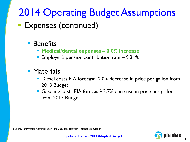# 2014 Operating Budget Assumptions

### **Expenses (continued)**

#### **Benefits**

- **Medical/dental expenses – 0.0% increase**
- **Employer's pension contribution rate 9.21%**
- **Materials** 
	- $\blacksquare$  Diesel costs EIA forecast<sup>1</sup> 2.0% decrease in price per gallon from 2013 Budget
	- Gasoline costs EIA forecast<sup>1</sup> 2.7% decrease in price per gallon from 2013 Budget

**1** Energy Information Administration June 2013 forecast with ½ standard deviation



**11**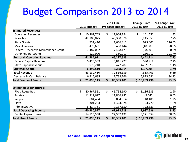## Budget Comparison 2013 to 2014

|                                             |    |             | <b>2014 Final</b> |                        | \$ Change From |              | % Change From |
|---------------------------------------------|----|-------------|-------------------|------------------------|----------------|--------------|---------------|
|                                             |    | 2013 Budget |                   | <b>Proposed Budget</b> |                | 2013 Budget  | 2013 Budget   |
| <b>Estimated Revenues:</b>                  |    |             |                   |                        |                |              |               |
| <b>Operating Revenues</b>                   | \$ | 10,862,743  | \$                | 11,004,294             | \$             | 141,551      | 1.3%          |
| Sales Tax                                   |    | 42,105,025  |                   | 45,350,578             |                | 3,245,553    | 7.7%          |
| <b>State Grants</b>                         |    | 731,410     |                   | 1,656,413              |                | 925,003      | 126.5%        |
| Miscellaneous                               |    | 478,651     |                   | 438,144                |                | (40, 507)    | $-8.5%$       |
| <b>Federal Preventive Maintenance Grant</b> |    | 7,487,082   |                   | 7,428,179              |                | (58,903)     | $-0.8%$       |
| <b>Other Federal Grants</b>                 |    | 120,000     |                   | 350,017                |                | 230,017      | 191.7%        |
| <b>Subtotal: Operating Revenues</b>         |    | 61,784,911  |                   | 66,227,625             |                | 4,442,714    | 7.2%          |
| <b>Federal Capital Revenue</b>              |    | 5,420,309   |                   | 5,811,227              |                | 390,918      | 7.2%          |
| <b>State Capital Revenue</b>                |    | 975,210     |                   | 477,287                |                | (497,923)    | $-51.1%$      |
| <b>Subtotal: Capital</b>                    |    | 6,395,519   |                   | 6,288,514              |                | (107,005)    | $-1.7%$       |
| <b>Total Revenue</b>                        |    | 68,180,430  |                   | 72,516,139             |                | 4,335,709    | 6.4%          |
| Decrease in Cash Balance                    |    | 6,915,685   |                   | 12,789,266             |                | 5,873,581    | 84.9%         |
| <b>Total Source of Funds</b>                | Ś. | 75,096,115  | \$                | 85,305,405             |                | \$10,209,290 | 13.6%         |
| <b>Estimated Expenditures:</b>              |    |             |                   |                        |                |              |               |
| <b>Fixed Route Bus</b>                      | \$ | 40,567,551  | \$                | 41,754,190             | \$             | 1,186,639    | 2.9%          |
| Paratransit                                 |    | 11,812,627  |                   | 11,806,985             |                | (5,642)      | 0.0%          |
| Vanpool                                     |    | 884,434     |                   | 894,914                |                | 10,480       | 1.2%          |
| Plaza                                       |    | 1,301,204   |                   | 1,324,974              |                | 23,770       | 1.8%          |
| Administrative                              |    | 6,414,761   |                   | 7,137,150              |                | 722,389      | 11.3%         |
| <b>Total Operating Expense</b>              |    | 60,980,577  |                   | 62,918,213             |                | 1,937,636    | 3.2%          |
| <b>Capital Expenditures</b>                 |    | 14,115,538  |                   | 22,387,192             |                | 8,271,654    | 58.6%         |
| <b>Total Use of Funds</b>                   | \$ | 75,096,115  | \$                | 85,305,405             |                | \$10,209,290 | 13.6%         |

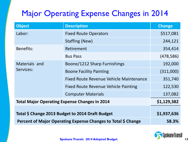### Major Operating Expense Changes in 2014

| <b>Object</b>                                                 | <b>Description</b>                      | <b>Change</b> |
|---------------------------------------------------------------|-----------------------------------------|---------------|
| Labor:                                                        | <b>Fixed Route Operators</b>            | \$517,081     |
|                                                               | Staffing (New)                          | 244,121       |
| <b>Benefits:</b>                                              | Retirement                              | 354,414       |
|                                                               | <b>Bus Pass</b>                         | (478, 586)    |
| Materials and<br>Services:                                    | Boone/1212 Sharp Furnishings            | 192,000       |
|                                                               | <b>Boone Facility Painting</b>          | (311,000)     |
|                                                               | Fixed Route Revenue Vehicle Maintenance | 351,740       |
|                                                               | Fixed Route Revenue Vehicle Painting    | 122,530       |
|                                                               | <b>Computer Materials</b>               | 137,082       |
| <b>Total Major Operating Expense Changes in 2014</b>          | \$1,129,382                             |               |
| Total \$ Change 2013 Budget to 2014 Draft Budget              | \$1,937,636                             |               |
| Percent of Major Operating Expense Changes to Total \$ Change | 58.3%                                   |               |

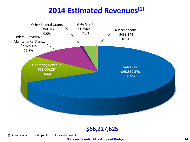#### **2014 Estimated Revenues(1)**





(1) Above amounts exclude grants used for capital projects.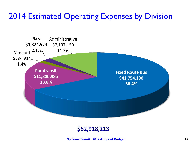### 2014 Estimated Operating Expenses by Division



#### \$62,918,213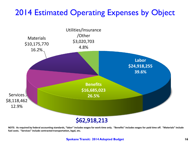#### 2014 Estimated Operating Expenses by Object



**NOTE: As required by federal accounting standards, "labor" includes wages for work time only. "Benefits" includes wages for paid time off. "Materials" include fuel costs. "Services" include contracted transportation, legal, etc.**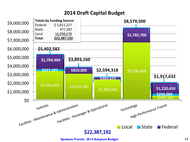#### **2014 Draft Capital Budget**



**Spokane Transit: 2014 Adopted Budget 17**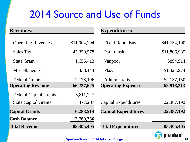### 2014 Source and Use of Funds

| <b>Revenues:</b>              |              | <b>Expenditures:</b>        |              |
|-------------------------------|--------------|-----------------------------|--------------|
| <b>Operating Revenues</b>     | \$11,004,294 | <b>Fixed Route Bus</b>      | \$41,754,190 |
| <b>Sales Tax</b>              | 45,350,578   | Paratransit                 | \$11,806,985 |
| <b>State Grant</b>            | 1,656,413    | Vanpool                     | \$894,914    |
| Miscellaneous                 | 438,144      | Plaza                       | \$1,324,974  |
| <b>Federal Grants</b>         | 7,778,196    | Administrative              | \$7,137,150  |
| <b>Operating Revenue</b>      | 66,227,625   | <b>Operating Expenses</b>   | 62,918,213   |
| <b>Federal Capital Grants</b> | 5,811,227    |                             |              |
| <b>State Capital Grants</b>   | 477,287      | Capital Expenditures        | 22,387,192   |
| <b>Capital Grants</b>         | 6,288,514    | <b>Capital Expenditures</b> | 22,387,192   |
| <b>Cash Balance</b>           | 12,789,266   |                             |              |
| <b>Total Revenue</b>          | 85,305,405   | <b>Total Expenditures</b>   | 85,305,405   |

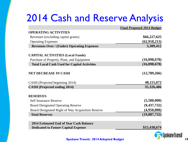## 2014 Cash and Reserve Analysis

|                                                     | <b>Final Proposed 2014 Budget</b> |
|-----------------------------------------------------|-----------------------------------|
| <b>OPERATING ACTIVITIES</b>                         |                                   |
| Revenues (excluding capital grants)                 | \$66,227,625                      |
| <b>Operating Expenses</b>                           | (62, 918, 213)                    |
| <b>Revenues Over / (Under) Operating Expenses</b>   | 3,309,412                         |
| <b>CAPITAL ACTIVITIES (Local Funds)</b>             |                                   |
| Purchase of Property, Plant, and Equipment          | (16,098,678)                      |
| <b>Total Local Cash Used for Capital Activities</b> | (16,098,678)                      |
| <b>NET DECREASE IN CASH</b>                         | (12,789,266)                      |
| CASH (Projected beginning 2014)                     | 48, 115, 672                      |
| <b>CASH</b> (Projected ending 2014)                 | 35,326,406                        |
| <b>RESERVES</b>                                     |                                   |
| <b>Self Insurance Reserve</b>                       | (5,500,000)                       |
| <b>Board Designated Operating Reserve</b>           | (9, 437, 732)                     |
| Board Designated Right of Way Acquisition Reserve   | (4,950,000)                       |
| <b>Total Reserves</b>                               | (19, 887, 732)                    |
|                                                     |                                   |

**2014 Estimated End of Year Cash Balance Dedicated to Future Capital Expense <b>815,438,674**